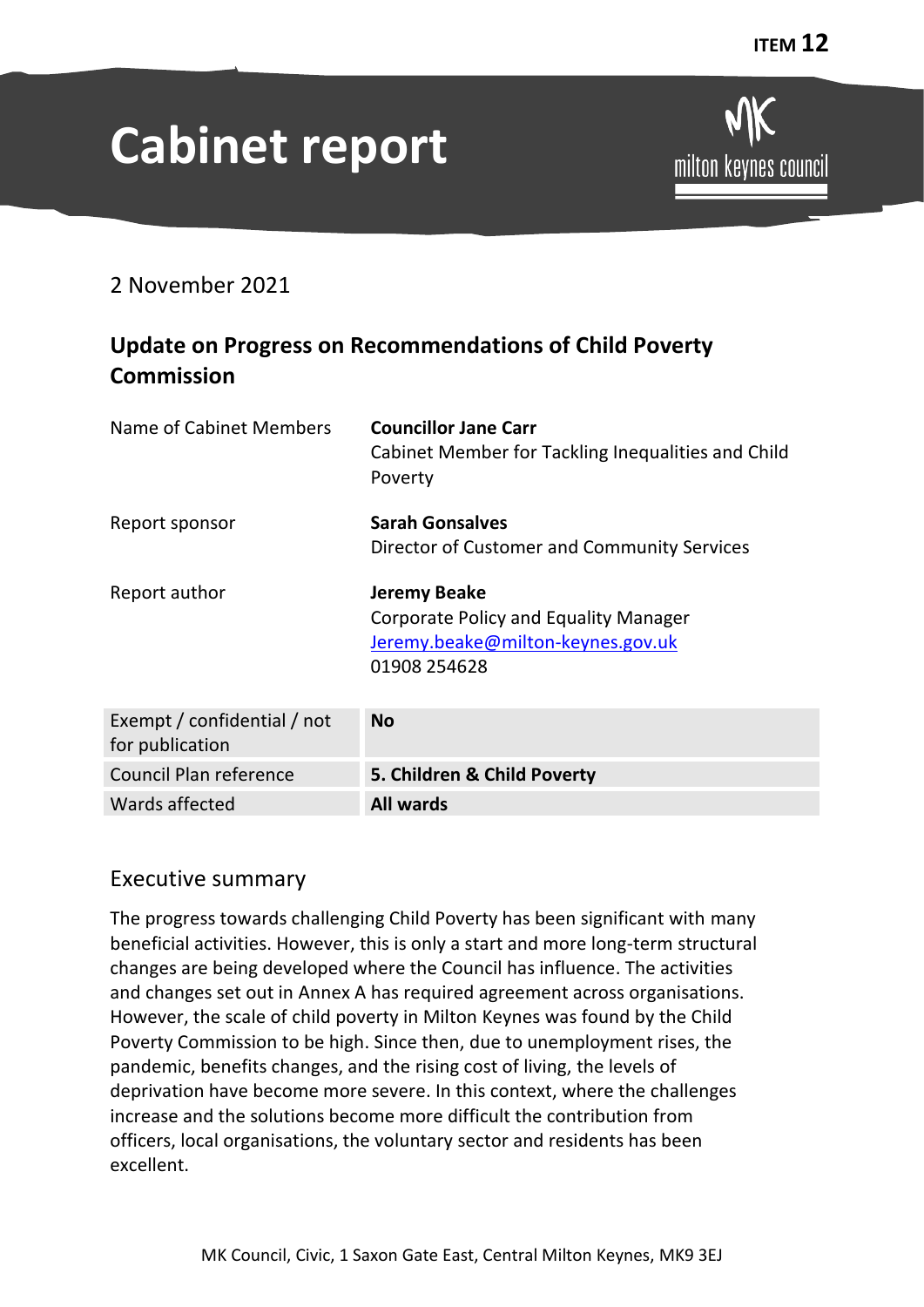# **Cabinet report**

# milton keynes council

2 November 2021

# **Update on Progress on Recommendations of Child Poverty Commission**

| Name of Cabinet Members                        | <b>Councillor Jane Carr</b><br>Cabinet Member for Tackling Inequalities and Child<br>Poverty                      |  |
|------------------------------------------------|-------------------------------------------------------------------------------------------------------------------|--|
| Report sponsor                                 | <b>Sarah Gonsalves</b><br>Director of Customer and Community Services                                             |  |
| Report author                                  | <b>Jeremy Beake</b><br>Corporate Policy and Equality Manager<br>Jeremy.beake@milton-keynes.gov.uk<br>01908 254628 |  |
| Exempt / confidential / not<br>for publication | <b>No</b>                                                                                                         |  |
| Council Plan reference                         | 5. Children & Child Poverty                                                                                       |  |
| Wards affected                                 | <b>All wards</b>                                                                                                  |  |

# Executive summary

The progress towards challenging Child Poverty has been significant with many beneficial activities. However, this is only a start and more long-term structural changes are being developed where the Council has influence. The activities and changes set out in Annex A has required agreement across organisations. However, the scale of child poverty in Milton Keynes was found by the Child Poverty Commission to be high. Since then, due to unemployment rises, the pandemic, benefits changes, and the rising cost of living, the levels of deprivation have become more severe. In this context, where the challenges increase and the solutions become more difficult the contribution from officers, local organisations, the voluntary sector and residents has been excellent.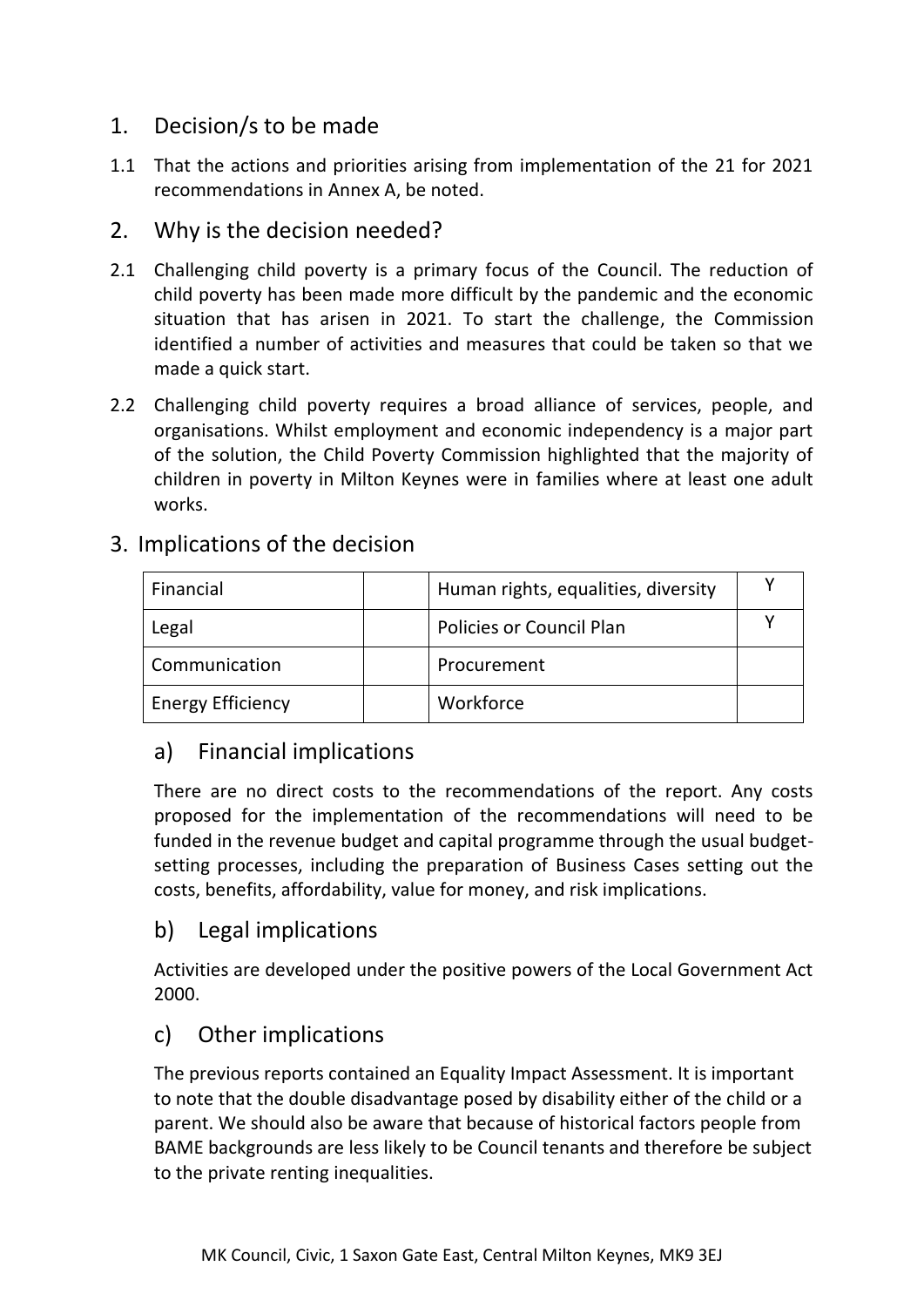# 1. Decision/s to be made

1.1 That the actions and priorities arising from implementation of the 21 for 2021 recommendations in Annex A, be noted.

# 2. Why is the decision needed?

- 2.1 Challenging child poverty is a primary focus of the Council. The reduction of child poverty has been made more difficult by the pandemic and the economic situation that has arisen in 2021. To start the challenge, the Commission identified a number of activities and measures that could be taken so that we made a quick start.
- 2.2 Challenging child poverty requires a broad alliance of services, people, and organisations. Whilst employment and economic independency is a major part of the solution, the Child Poverty Commission highlighted that the majority of children in poverty in Milton Keynes were in families where at least one adult works.

| Financial                | Human rights, equalities, diversity |  |
|--------------------------|-------------------------------------|--|
| Legal                    | <b>Policies or Council Plan</b>     |  |
| Communication            | Procurement                         |  |
| <b>Energy Efficiency</b> | Workforce                           |  |

### 3. Implications of the decision

# a) Financial implications

There are no direct costs to the recommendations of the report. Any costs proposed for the implementation of the recommendations will need to be funded in the revenue budget and capital programme through the usual budgetsetting processes, including the preparation of Business Cases setting out the costs, benefits, affordability, value for money, and risk implications.

# b) Legal implications

Activities are developed under the positive powers of the Local Government Act 2000.

# c) Other implications

The previous reports contained an Equality Impact Assessment. It is important to note that the double disadvantage posed by disability either of the child or a parent. We should also be aware that because of historical factors people from BAME backgrounds are less likely to be Council tenants and therefore be subject to the private renting inequalities.